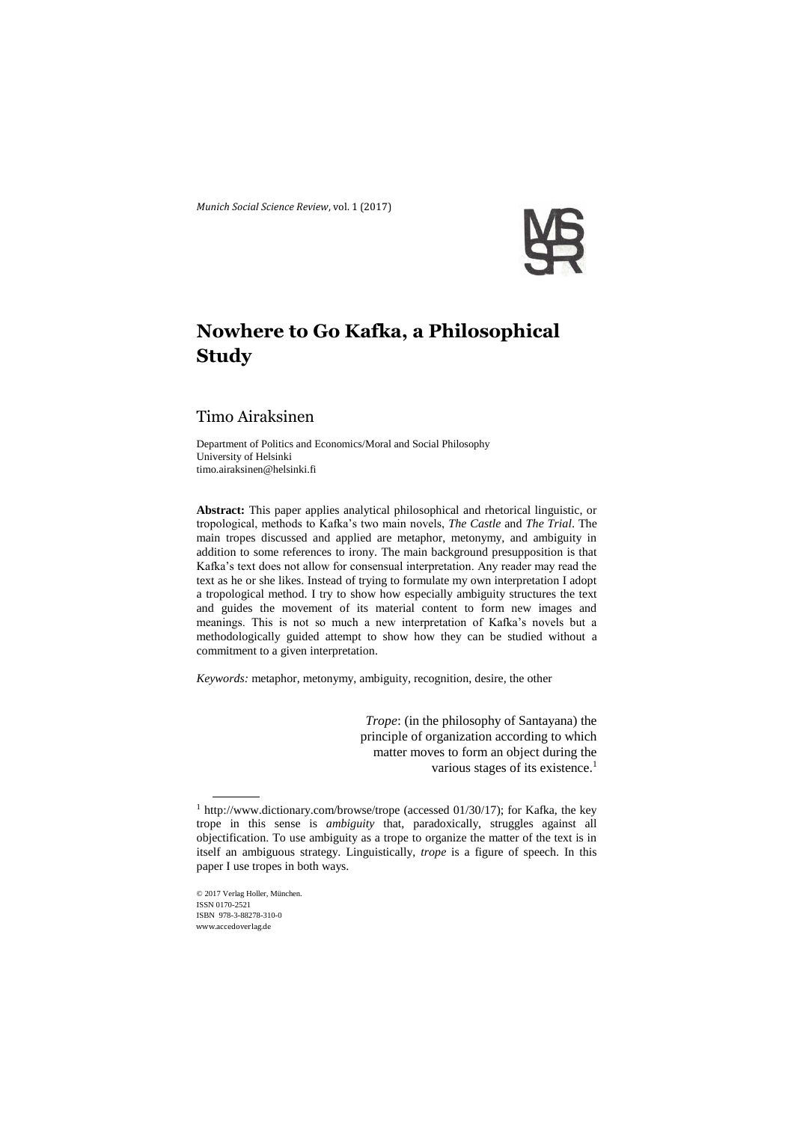

# **Nowhere to Go Kafka, a Philosophical Study**

## Timo Airaksinen

Department of Politics and Economics/Moral and Social Philosophy University of Helsinki [timo.airaksinen@helsinki.fi](mailto:timo.airaksinen@helsinki.fi)

**Abstract:** This paper applies analytical philosophical and rhetorical linguistic, or tropological, methods to Kafka's two main novels, *The Castle* and *The Trial*. The main tropes discussed and applied are metaphor, metonymy, and ambiguity in addition to some references to irony. The main background presupposition is that Kafka's text does not allow for consensual interpretation. Any reader may read the text as he or she likes. Instead of trying to formulate my own interpretation I adopt a tropological method. I try to show how especially ambiguity structures the text and guides the movement of its material content to form new images and meanings. This is not so much a new interpretation of Kafka's novels but a methodologically guided attempt to show how they can be studied without a commitment to a given interpretation.

*Keywords:* metaphor, metonymy, ambiguity, recognition, desire, the other

*Trope*: (in the philosophy of Santayana) the principle of organization according to which matter moves to form an object during the various stages of its existence.<sup>1</sup>

© 2017 Verlag Holler, München. ISSN 0170-2521 ISBN 978-3-88278-310-0 www.accedoverlag.de

 $\overline{a}$ 

<sup>1</sup> http://www.dictionary.com/browse/trope (accessed 01/30/17); for Kafka, the key trope in this sense is *ambiguity* that, paradoxically, struggles against all objectification. To use ambiguity as a trope to organize the matter of the text is in itself an ambiguous strategy. Linguistically, *trope* is a figure of speech. In this paper I use tropes in both ways.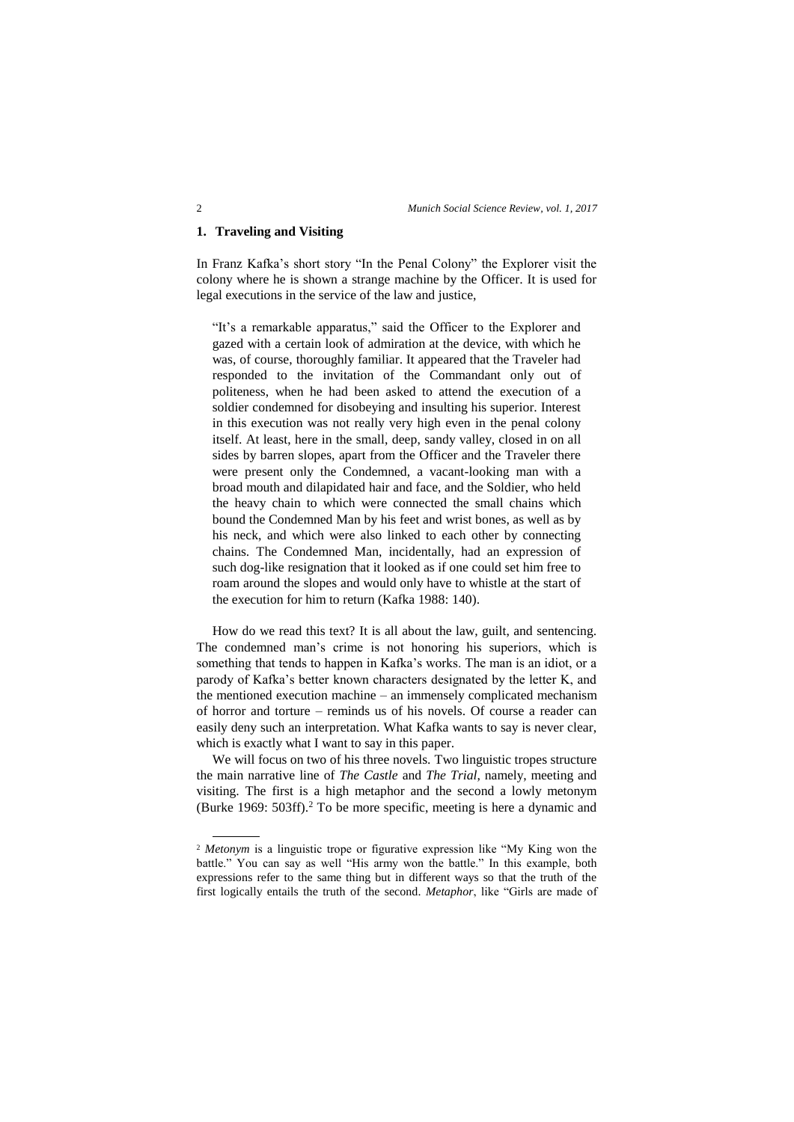## **1. Traveling and Visiting**

In Franz Kafka's short story "In the Penal Colony" the Explorer visit the colony where he is shown a strange machine by the Officer. It is used for legal executions in the service of the law and justice,

"It's a remarkable apparatus," said the Officer to the Explorer and gazed with a certain look of admiration at the device, with which he was, of course, thoroughly familiar. It appeared that the Traveler had responded to the invitation of the Commandant only out of politeness, when he had been asked to attend the execution of a soldier condemned for disobeying and insulting his superior. Interest in this execution was not really very high even in the penal colony itself. At least, here in the small, deep, sandy valley, closed in on all sides by barren slopes, apart from the Officer and the Traveler there were present only the Condemned, a vacant-looking man with a broad mouth and dilapidated hair and face, and the Soldier, who held the heavy chain to which were connected the small chains which bound the Condemned Man by his feet and wrist bones, as well as by his neck, and which were also linked to each other by connecting chains. The Condemned Man, incidentally, had an expression of such dog-like resignation that it looked as if one could set him free to roam around the slopes and would only have to whistle at the start of the execution for him to return (Kafka 1988: 140).

How do we read this text? It is all about the law, guilt, and sentencing. The condemned man's crime is not honoring his superiors, which is something that tends to happen in Kafka's works. The man is an idiot, or a parody of Kafka's better known characters designated by the letter K, and the mentioned execution machine – an immensely complicated mechanism of horror and torture – reminds us of his novels. Of course a reader can easily deny such an interpretation. What Kafka wants to say is never clear, which is exactly what I want to say in this paper.

We will focus on two of his three novels. Two linguistic tropes structure the main narrative line of *The Castle* and *The Trial*, namely, meeting and visiting. The first is a high metaphor and the second a lowly metonym (Burke 1969: 503ff).<sup>2</sup> To be more specific, meeting is here a dynamic and

 $\overline{a}$ 

<sup>&</sup>lt;sup>2</sup> *Metonym* is a linguistic trope or figurative expression like "My King won the battle." You can say as well "His army won the battle." In this example, both expressions refer to the same thing but in different ways so that the truth of the first logically entails the truth of the second. *Metaphor*, like "Girls are made of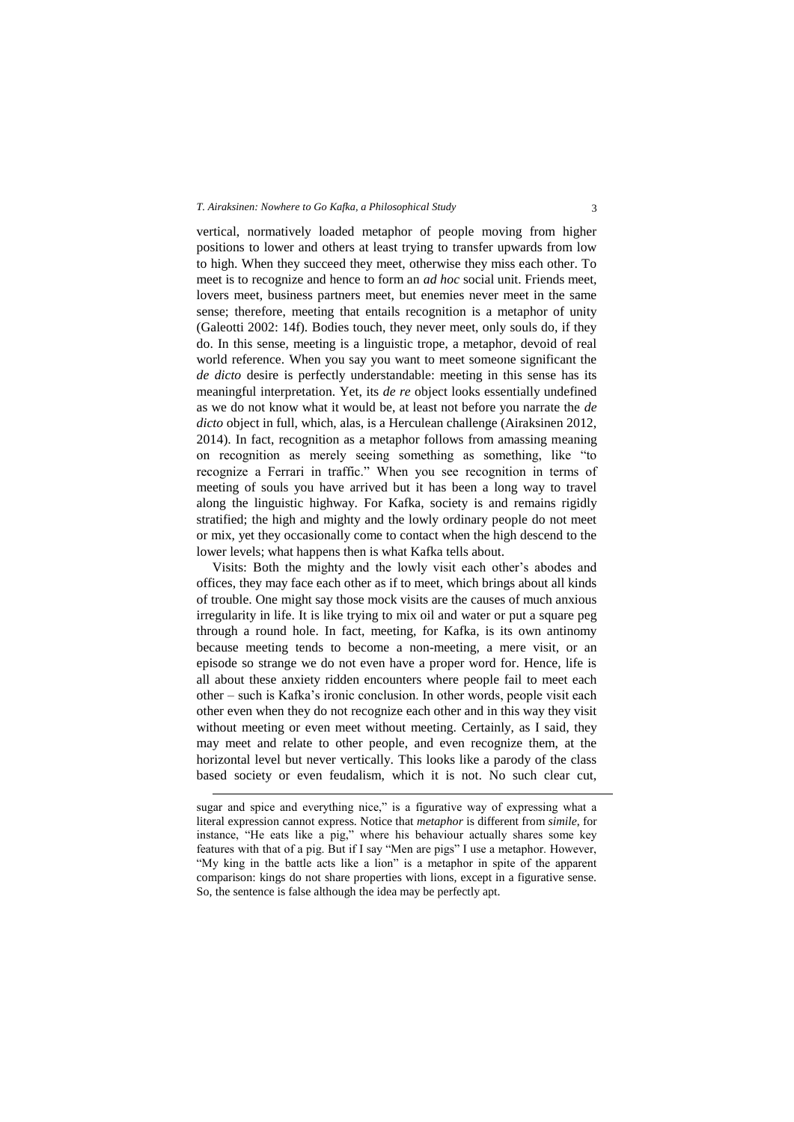vertical, normatively loaded metaphor of people moving from higher positions to lower and others at least trying to transfer upwards from low to high. When they succeed they meet, otherwise they miss each other. To meet is to recognize and hence to form an *ad hoc* social unit. Friends meet, lovers meet, business partners meet, but enemies never meet in the same sense; therefore, meeting that entails recognition is a metaphor of unity (Galeotti 2002: 14f). Bodies touch, they never meet, only souls do, if they do. In this sense, meeting is a linguistic trope, a metaphor, devoid of real world reference. When you say you want to meet someone significant the *de dicto* desire is perfectly understandable: meeting in this sense has its meaningful interpretation. Yet, its *de re* object looks essentially undefined as we do not know what it would be, at least not before you narrate the *de dicto* object in full, which, alas, is a Herculean challenge (Airaksinen 2012, 2014). In fact, recognition as a metaphor follows from amassing meaning on recognition as merely seeing something as something, like "to recognize a Ferrari in traffic." When you see recognition in terms of meeting of souls you have arrived but it has been a long way to travel along the linguistic highway. For Kafka, society is and remains rigidly stratified; the high and mighty and the lowly ordinary people do not meet or mix, yet they occasionally come to contact when the high descend to the lower levels; what happens then is what Kafka tells about.

Visits: Both the mighty and the lowly visit each other's abodes and offices, they may face each other as if to meet, which brings about all kinds of trouble. One might say those mock visits are the causes of much anxious irregularity in life. It is like trying to mix oil and water or put a square peg through a round hole. In fact, meeting, for Kafka, is its own antinomy because meeting tends to become a non-meeting, a mere visit, or an episode so strange we do not even have a proper word for. Hence, life is all about these anxiety ridden encounters where people fail to meet each other – such is Kafka's ironic conclusion. In other words, people visit each other even when they do not recognize each other and in this way they visit without meeting or even meet without meeting. Certainly, as I said, they may meet and relate to other people, and even recognize them, at the horizontal level but never vertically. This looks like a parody of the class based society or even feudalism, which it is not. No such clear cut,

1

sugar and spice and everything nice," is a figurative way of expressing what a literal expression cannot express. Notice that *metaphor* is different from *simile*, for instance, "He eats like a pig," where his behaviour actually shares some key features with that of a pig. But if I say "Men are pigs" I use a metaphor. However, "My king in the battle acts like a lion" is a metaphor in spite of the apparent comparison: kings do not share properties with lions, except in a figurative sense. So, the sentence is false although the idea may be perfectly apt.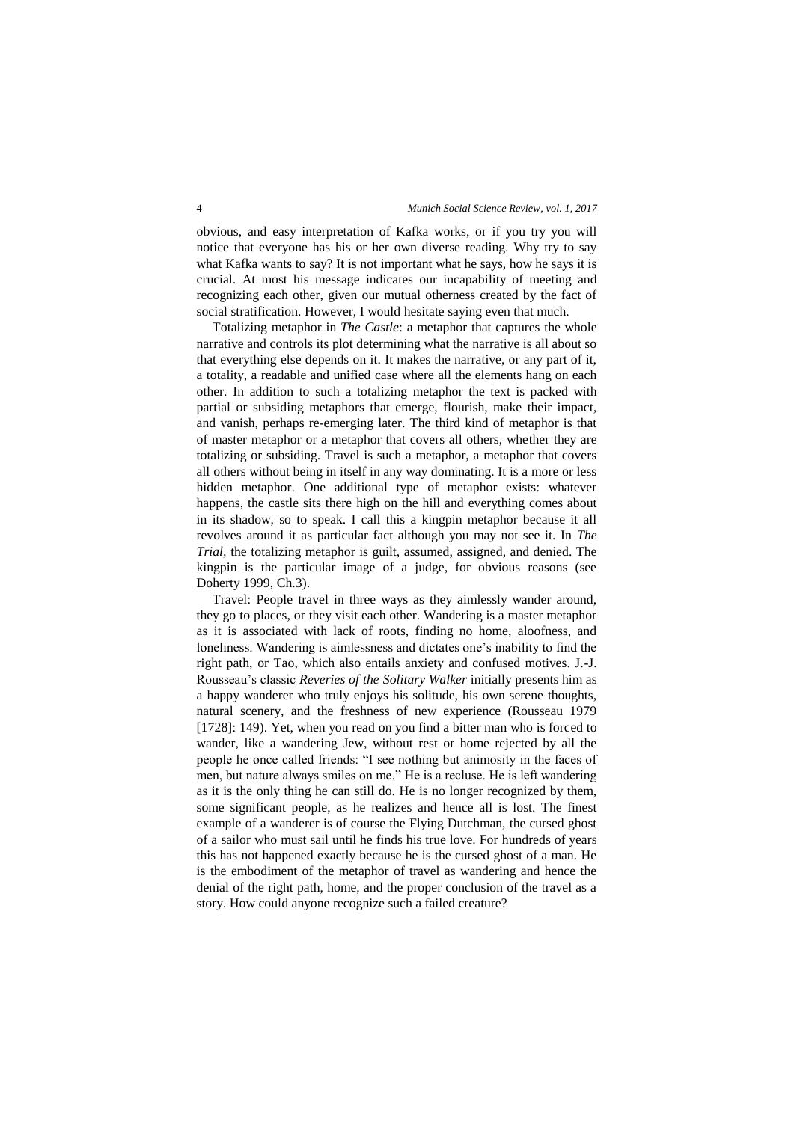obvious, and easy interpretation of Kafka works, or if you try you will notice that everyone has his or her own diverse reading. Why try to say what Kafka wants to say? It is not important what he says, how he says it is crucial. At most his message indicates our incapability of meeting and recognizing each other, given our mutual otherness created by the fact of social stratification. However, I would hesitate saying even that much.

Totalizing metaphor in *The Castle*: a metaphor that captures the whole narrative and controls its plot determining what the narrative is all about so that everything else depends on it. It makes the narrative, or any part of it, a totality, a readable and unified case where all the elements hang on each other. In addition to such a totalizing metaphor the text is packed with partial or subsiding metaphors that emerge, flourish, make their impact, and vanish, perhaps re-emerging later. The third kind of metaphor is that of master metaphor or a metaphor that covers all others, whether they are totalizing or subsiding. Travel is such a metaphor, a metaphor that covers all others without being in itself in any way dominating. It is a more or less hidden metaphor. One additional type of metaphor exists: whatever happens, the castle sits there high on the hill and everything comes about in its shadow, so to speak. I call this a kingpin metaphor because it all revolves around it as particular fact although you may not see it. In *The Trial,* the totalizing metaphor is guilt, assumed, assigned, and denied. The kingpin is the particular image of a judge, for obvious reasons (see Doherty 1999, Ch.3).

Travel: People travel in three ways as they aimlessly wander around, they go to places, or they visit each other. Wandering is a master metaphor as it is associated with lack of roots, finding no home, aloofness, and loneliness. Wandering is aimlessness and dictates one's inability to find the right path, or Tao, which also entails anxiety and confused motives. J.-J. Rousseau's classic *Reveries of the Solitary Walker* initially presents him as a happy wanderer who truly enjoys his solitude, his own serene thoughts, natural scenery, and the freshness of new experience (Rousseau 1979 [1728]: 149). Yet, when you read on you find a bitter man who is forced to wander, like a wandering Jew, without rest or home rejected by all the people he once called friends: "I see nothing but animosity in the faces of men, but nature always smiles on me." He is a recluse. He is left wandering as it is the only thing he can still do. He is no longer recognized by them, some significant people, as he realizes and hence all is lost. The finest example of a wanderer is of course the Flying Dutchman, the cursed ghost of a sailor who must sail until he finds his true love. For hundreds of years this has not happened exactly because he is the cursed ghost of a man. He is the embodiment of the metaphor of travel as wandering and hence the denial of the right path, home, and the proper conclusion of the travel as a story. How could anyone recognize such a failed creature?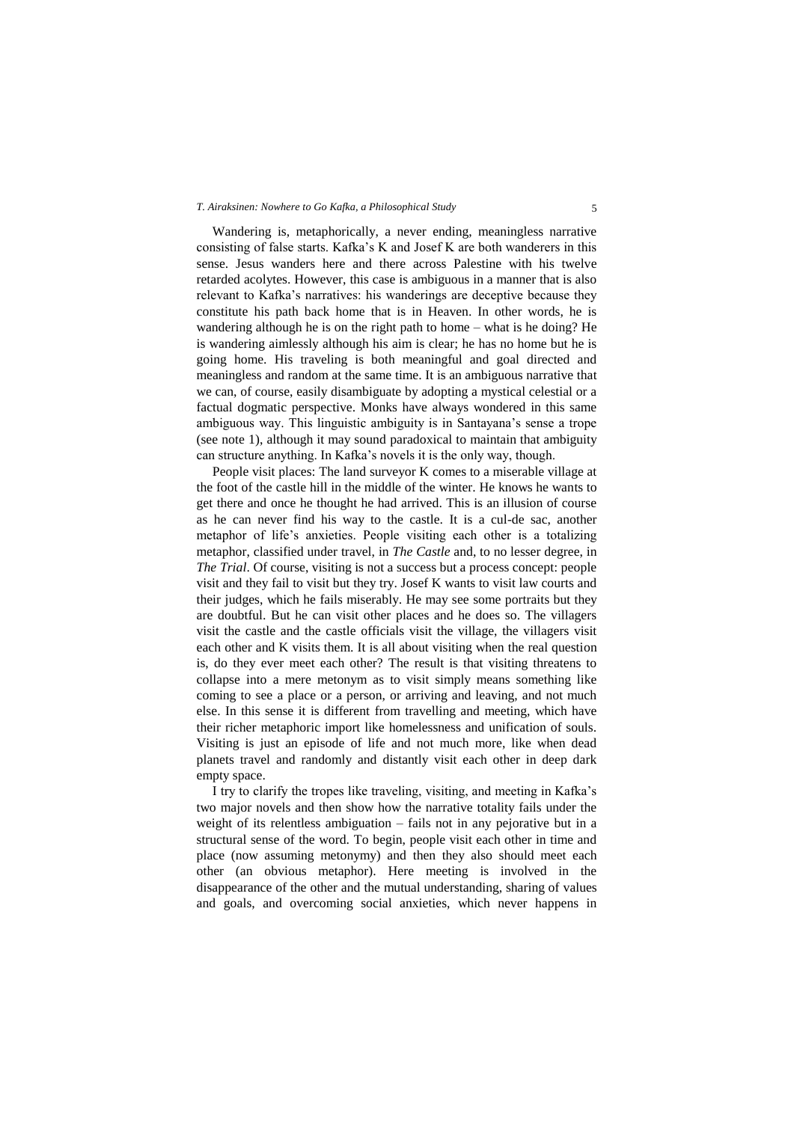Wandering is, metaphorically, a never ending, meaningless narrative consisting of false starts. Kafka's K and Josef K are both wanderers in this sense. Jesus wanders here and there across Palestine with his twelve retarded acolytes. However, this case is ambiguous in a manner that is also relevant to Kafka's narratives: his wanderings are deceptive because they constitute his path back home that is in Heaven. In other words, he is wandering although he is on the right path to home – what is he doing? He is wandering aimlessly although his aim is clear; he has no home but he is going home. His traveling is both meaningful and goal directed and meaningless and random at the same time. It is an ambiguous narrative that we can, of course, easily disambiguate by adopting a mystical celestial or a factual dogmatic perspective. Monks have always wondered in this same ambiguous way. This linguistic ambiguity is in Santayana's sense a trope (see note 1), although it may sound paradoxical to maintain that ambiguity can structure anything. In Kafka's novels it is the only way, though.

People visit places: The land surveyor K comes to a miserable village at the foot of the castle hill in the middle of the winter. He knows he wants to get there and once he thought he had arrived. This is an illusion of course as he can never find his way to the castle. It is a cul-de sac, another metaphor of life's anxieties. People visiting each other is a totalizing metaphor, classified under travel, in *The Castle* and, to no lesser degree, in *The Trial*. Of course, visiting is not a success but a process concept: people visit and they fail to visit but they try. Josef K wants to visit law courts and their judges, which he fails miserably. He may see some portraits but they are doubtful. But he can visit other places and he does so. The villagers visit the castle and the castle officials visit the village, the villagers visit each other and K visits them. It is all about visiting when the real question is, do they ever meet each other? The result is that visiting threatens to collapse into a mere metonym as to visit simply means something like coming to see a place or a person, or arriving and leaving, and not much else. In this sense it is different from travelling and meeting, which have their richer metaphoric import like homelessness and unification of souls. Visiting is just an episode of life and not much more, like when dead planets travel and randomly and distantly visit each other in deep dark empty space.

I try to clarify the tropes like traveling, visiting, and meeting in Kafka's two major novels and then show how the narrative totality fails under the weight of its relentless ambiguation – fails not in any pejorative but in a structural sense of the word. To begin, people visit each other in time and place (now assuming metonymy) and then they also should meet each other (an obvious metaphor). Here meeting is involved in the disappearance of the other and the mutual understanding, sharing of values and goals, and overcoming social anxieties, which never happens in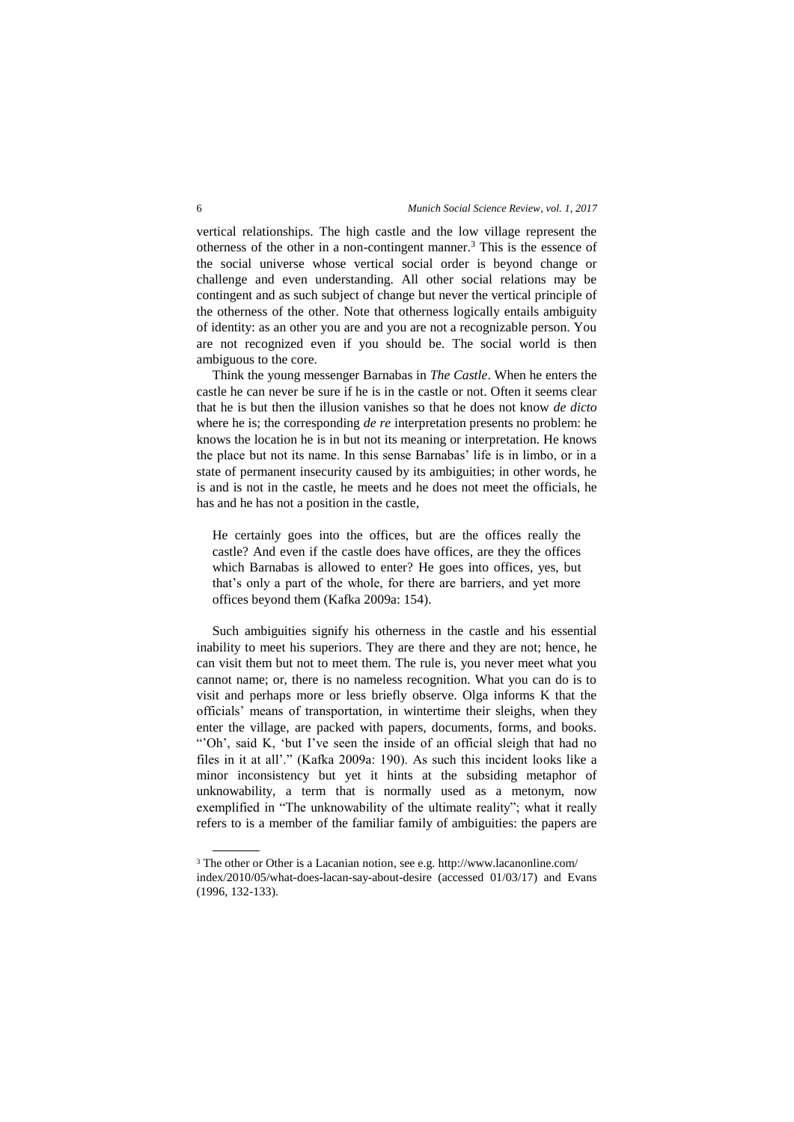vertical relationships. The high castle and the low village represent the otherness of the other in a non-contingent manner.<sup>3</sup> This is the essence of the social universe whose vertical social order is beyond change or challenge and even understanding. All other social relations may be contingent and as such subject of change but never the vertical principle of the otherness of the other. Note that otherness logically entails ambiguity of identity: as an other you are and you are not a recognizable person. You are not recognized even if you should be. The social world is then ambiguous to the core.

Think the young messenger Barnabas in *The Castle*. When he enters the castle he can never be sure if he is in the castle or not. Often it seems clear that he is but then the illusion vanishes so that he does not know *de dicto* where he is; the corresponding *de re* interpretation presents no problem: he knows the location he is in but not its meaning or interpretation. He knows the place but not its name. In this sense Barnabas' life is in limbo, or in a state of permanent insecurity caused by its ambiguities; in other words, he is and is not in the castle, he meets and he does not meet the officials, he has and he has not a position in the castle,

He certainly goes into the offices, but are the offices really the castle? And even if the castle does have offices, are they the offices which Barnabas is allowed to enter? He goes into offices, yes, but that's only a part of the whole, for there are barriers, and yet more offices beyond them (Kafka 2009a: 154).

Such ambiguities signify his otherness in the castle and his essential inability to meet his superiors. They are there and they are not; hence, he can visit them but not to meet them. The rule is, you never meet what you cannot name; or, there is no nameless recognition. What you can do is to visit and perhaps more or less briefly observe. Olga informs K that the officials' means of transportation, in wintertime their sleighs, when they enter the village, are packed with papers, documents, forms, and books. "Oh', said K, 'but I've seen the inside of an official sleigh that had no files in it at all'." (Kafka 2009a: 190). As such this incident looks like a minor inconsistency but yet it hints at the subsiding metaphor of unknowability, a term that is normally used as a metonym, now exemplified in "The unknowability of the ultimate reality"; what it really refers to is a member of the familiar family of ambiguities: the papers are

 $\overline{a}$ 

<sup>3</sup> The other or Other is a Lacanian notion, see e.g[. http://www.lacanonline.com/](http://www.lacanonline.com/) index/2010/05/what-does-lacan-say-about-desire (accessed 01/03/17) and Evans (1996, 132-133).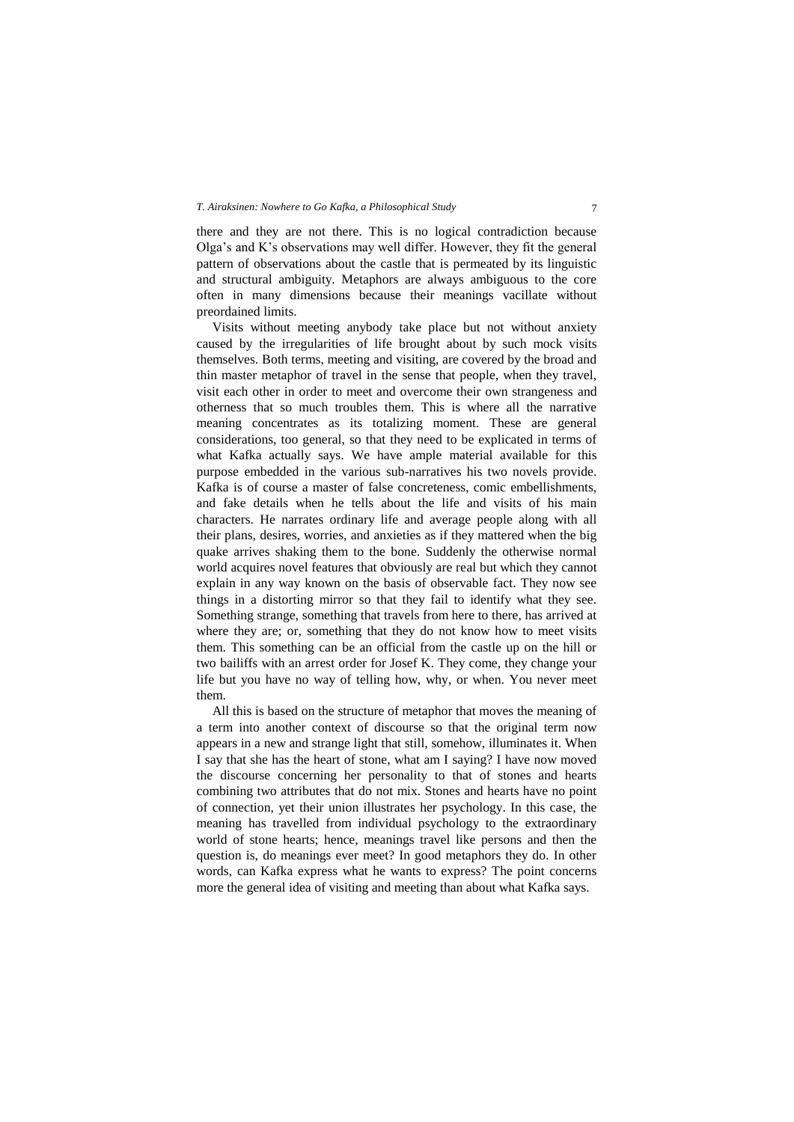there and they are not there. This is no logical contradiction because Olga's and K's observations may well differ. However, they fit the general pattern of observations about the castle that is permeated by its linguistic and structural ambiguity. Metaphors are always ambiguous to the core often in many dimensions because their meanings vacillate without preordained limits.

Visits without meeting anybody take place but not without anxiety caused by the irregularities of life brought about by such mock visits themselves. Both terms, meeting and visiting, are covered by the broad and thin master metaphor of travel in the sense that people, when they travel, visit each other in order to meet and overcome their own strangeness and otherness that so much troubles them. This is where all the narrative meaning concentrates as its totalizing moment. These are general considerations, too general, so that they need to be explicated in terms of what Kafka actually says. We have ample material available for this purpose embedded in the various sub-narratives his two novels provide. Kafka is of course a master of false concreteness, comic embellishments, and fake details when he tells about the life and visits of his main characters. He narrates ordinary life and average people along with all their plans, desires, worries, and anxieties as if they mattered when the big quake arrives shaking them to the bone. Suddenly the otherwise normal world acquires novel features that obviously are real but which they cannot explain in any way known on the basis of observable fact. They now see things in a distorting mirror so that they fail to identify what they see. Something strange, something that travels from here to there, has arrived at where they are; or, something that they do not know how to meet visits them. This something can be an official from the castle up on the hill or two bailiffs with an arrest order for Josef K. They come, they change your life but you have no way of telling how, why, or when. You never meet them.

All this is based on the structure of metaphor that moves the meaning of a term into another context of discourse so that the original term now appears in a new and strange light that still, somehow, illuminates it. When I say that she has the heart of stone, what am I saying? I have now moved the discourse concerning her personality to that of stones and hearts combining two attributes that do not mix. Stones and hearts have no point of connection, yet their union illustrates her psychology. In this case, the meaning has travelled from individual psychology to the extraordinary world of stone hearts; hence, meanings travel like persons and then the question is, do meanings ever meet? In good metaphors they do. In other words, can Kafka express what he wants to express? The point concerns more the general idea of visiting and meeting than about what Kafka says.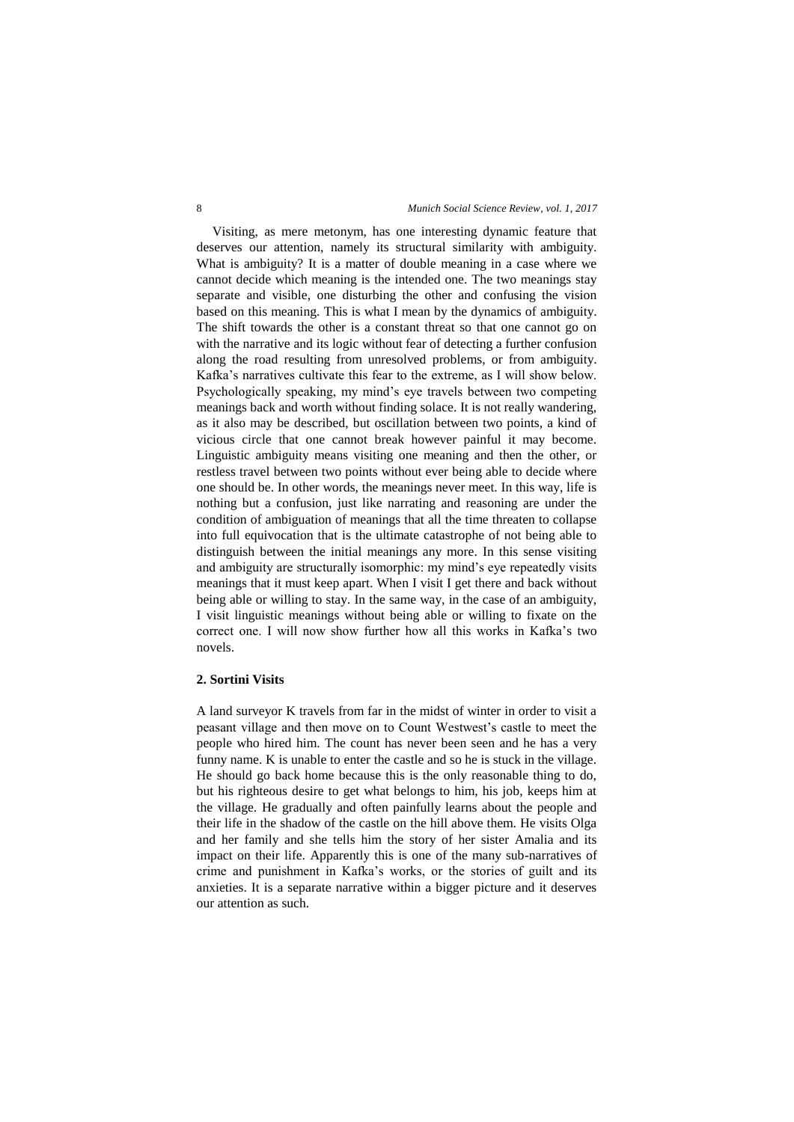Visiting, as mere metonym, has one interesting dynamic feature that deserves our attention, namely its structural similarity with ambiguity. What is ambiguity? It is a matter of double meaning in a case where we cannot decide which meaning is the intended one. The two meanings stay separate and visible, one disturbing the other and confusing the vision based on this meaning. This is what I mean by the dynamics of ambiguity. The shift towards the other is a constant threat so that one cannot go on with the narrative and its logic without fear of detecting a further confusion along the road resulting from unresolved problems, or from ambiguity. Kafka's narratives cultivate this fear to the extreme, as I will show below. Psychologically speaking, my mind's eye travels between two competing meanings back and worth without finding solace. It is not really wandering, as it also may be described, but oscillation between two points, a kind of vicious circle that one cannot break however painful it may become. Linguistic ambiguity means visiting one meaning and then the other, or restless travel between two points without ever being able to decide where one should be. In other words, the meanings never meet. In this way, life is nothing but a confusion, just like narrating and reasoning are under the condition of ambiguation of meanings that all the time threaten to collapse into full equivocation that is the ultimate catastrophe of not being able to distinguish between the initial meanings any more. In this sense visiting and ambiguity are structurally isomorphic: my mind's eye repeatedly visits meanings that it must keep apart. When I visit I get there and back without being able or willing to stay. In the same way, in the case of an ambiguity, I visit linguistic meanings without being able or willing to fixate on the correct one. I will now show further how all this works in Kafka's two novels.

## **2. Sortini Visits**

A land surveyor K travels from far in the midst of winter in order to visit a peasant village and then move on to Count Westwest's castle to meet the people who hired him. The count has never been seen and he has a very funny name. K is unable to enter the castle and so he is stuck in the village. He should go back home because this is the only reasonable thing to do, but his righteous desire to get what belongs to him, his job, keeps him at the village. He gradually and often painfully learns about the people and their life in the shadow of the castle on the hill above them. He visits Olga and her family and she tells him the story of her sister Amalia and its impact on their life. Apparently this is one of the many sub-narratives of crime and punishment in Kafka's works, or the stories of guilt and its anxieties. It is a separate narrative within a bigger picture and it deserves our attention as such.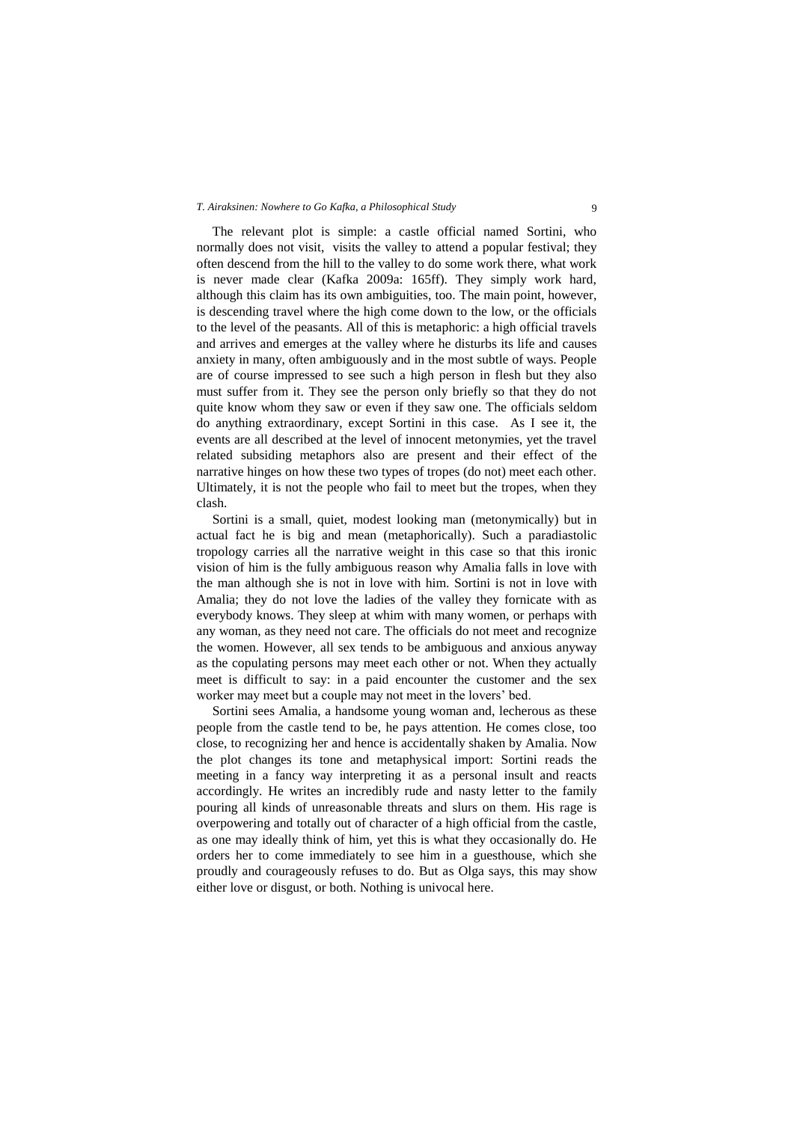The relevant plot is simple: a castle official named Sortini, who normally does not visit, visits the valley to attend a popular festival; they often descend from the hill to the valley to do some work there, what work is never made clear (Kafka 2009a: 165ff). They simply work hard, although this claim has its own ambiguities, too. The main point, however, is descending travel where the high come down to the low, or the officials to the level of the peasants. All of this is metaphoric: a high official travels and arrives and emerges at the valley where he disturbs its life and causes anxiety in many, often ambiguously and in the most subtle of ways. People are of course impressed to see such a high person in flesh but they also must suffer from it. They see the person only briefly so that they do not quite know whom they saw or even if they saw one. The officials seldom do anything extraordinary, except Sortini in this case. As I see it, the events are all described at the level of innocent metonymies, yet the travel related subsiding metaphors also are present and their effect of the narrative hinges on how these two types of tropes (do not) meet each other. Ultimately, it is not the people who fail to meet but the tropes, when they clash.

Sortini is a small, quiet, modest looking man (metonymically) but in actual fact he is big and mean (metaphorically). Such a paradiastolic tropology carries all the narrative weight in this case so that this ironic vision of him is the fully ambiguous reason why Amalia falls in love with the man although she is not in love with him. Sortini is not in love with Amalia; they do not love the ladies of the valley they fornicate with as everybody knows. They sleep at whim with many women, or perhaps with any woman, as they need not care. The officials do not meet and recognize the women. However, all sex tends to be ambiguous and anxious anyway as the copulating persons may meet each other or not. When they actually meet is difficult to say: in a paid encounter the customer and the sex worker may meet but a couple may not meet in the lovers' bed.

Sortini sees Amalia, a handsome young woman and, lecherous as these people from the castle tend to be, he pays attention. He comes close, too close, to recognizing her and hence is accidentally shaken by Amalia. Now the plot changes its tone and metaphysical import: Sortini reads the meeting in a fancy way interpreting it as a personal insult and reacts accordingly. He writes an incredibly rude and nasty letter to the family pouring all kinds of unreasonable threats and slurs on them. His rage is overpowering and totally out of character of a high official from the castle, as one may ideally think of him, yet this is what they occasionally do. He orders her to come immediately to see him in a guesthouse, which she proudly and courageously refuses to do. But as Olga says, this may show either love or disgust, or both. Nothing is univocal here.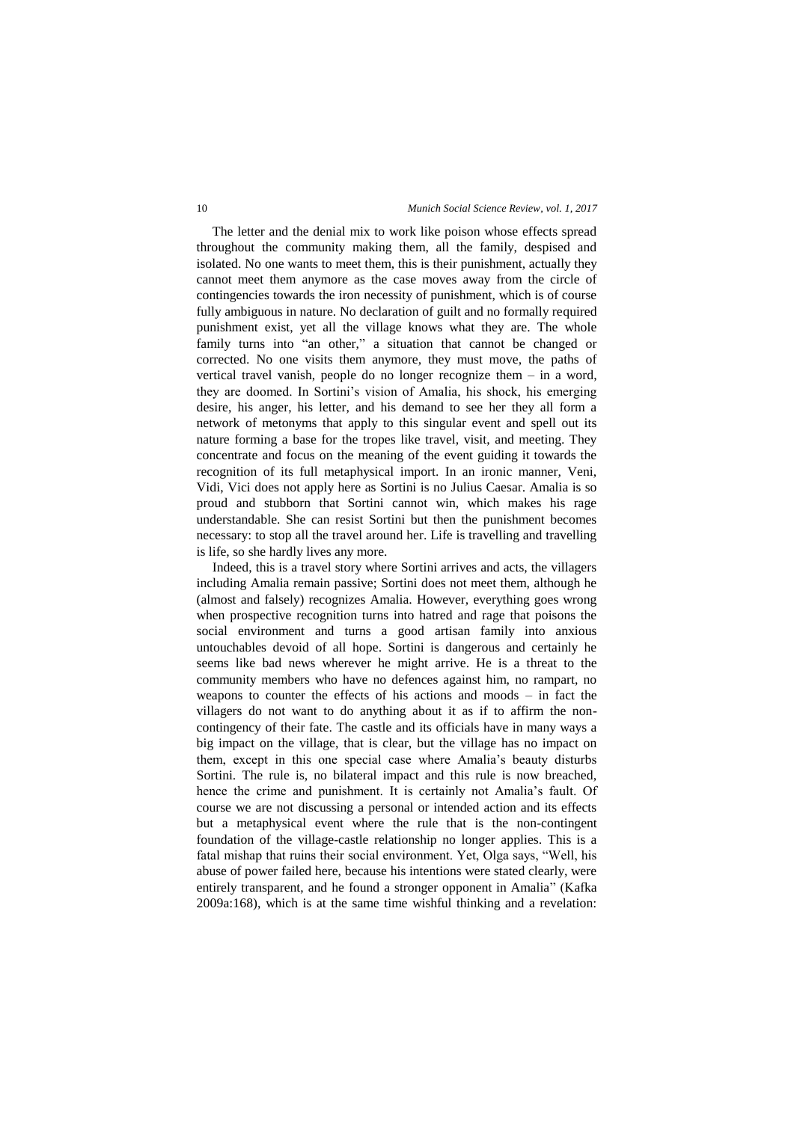The letter and the denial mix to work like poison whose effects spread throughout the community making them, all the family, despised and isolated. No one wants to meet them, this is their punishment, actually they cannot meet them anymore as the case moves away from the circle of contingencies towards the iron necessity of punishment, which is of course fully ambiguous in nature. No declaration of guilt and no formally required punishment exist, yet all the village knows what they are. The whole family turns into "an other," a situation that cannot be changed or corrected. No one visits them anymore, they must move, the paths of vertical travel vanish, people do no longer recognize them – in a word, they are doomed. In Sortini's vision of Amalia, his shock, his emerging desire, his anger, his letter, and his demand to see her they all form a network of metonyms that apply to this singular event and spell out its nature forming a base for the tropes like travel, visit, and meeting. They concentrate and focus on the meaning of the event guiding it towards the recognition of its full metaphysical import. In an ironic manner, Veni, Vidi, Vici does not apply here as Sortini is no Julius Caesar. Amalia is so proud and stubborn that Sortini cannot win, which makes his rage understandable. She can resist Sortini but then the punishment becomes necessary: to stop all the travel around her. Life is travelling and travelling is life, so she hardly lives any more.

Indeed, this is a travel story where Sortini arrives and acts, the villagers including Amalia remain passive; Sortini does not meet them, although he (almost and falsely) recognizes Amalia. However, everything goes wrong when prospective recognition turns into hatred and rage that poisons the social environment and turns a good artisan family into anxious untouchables devoid of all hope. Sortini is dangerous and certainly he seems like bad news wherever he might arrive. He is a threat to the community members who have no defences against him, no rampart, no weapons to counter the effects of his actions and moods – in fact the villagers do not want to do anything about it as if to affirm the noncontingency of their fate. The castle and its officials have in many ways a big impact on the village, that is clear, but the village has no impact on them, except in this one special case where Amalia's beauty disturbs Sortini. The rule is, no bilateral impact and this rule is now breached, hence the crime and punishment. It is certainly not Amalia's fault. Of course we are not discussing a personal or intended action and its effects but a metaphysical event where the rule that is the non-contingent foundation of the village-castle relationship no longer applies. This is a fatal mishap that ruins their social environment. Yet, Olga says, "Well, his abuse of power failed here, because his intentions were stated clearly, were entirely transparent, and he found a stronger opponent in Amalia" (Kafka 2009a:168), which is at the same time wishful thinking and a revelation: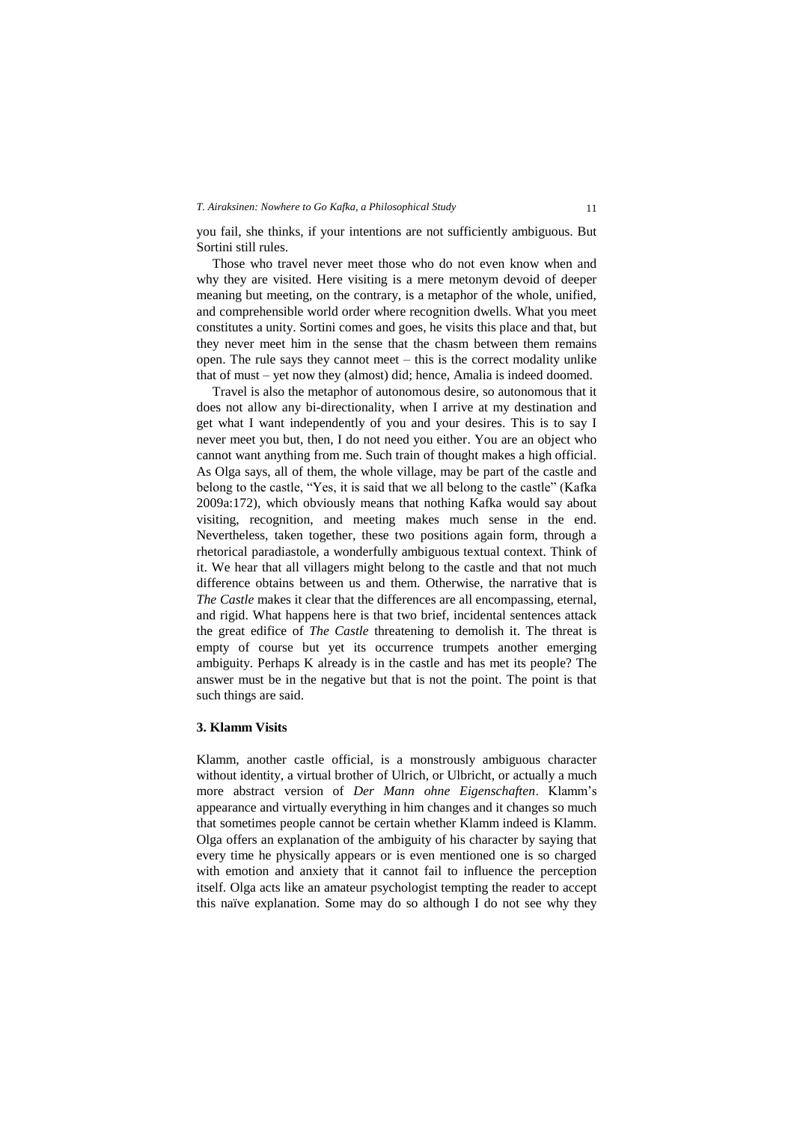you fail, she thinks, if your intentions are not sufficiently ambiguous. But Sortini still rules.

Those who travel never meet those who do not even know when and why they are visited. Here visiting is a mere metonym devoid of deeper meaning but meeting, on the contrary, is a metaphor of the whole, unified, and comprehensible world order where recognition dwells. What you meet constitutes a unity. Sortini comes and goes, he visits this place and that, but they never meet him in the sense that the chasm between them remains open. The rule says they cannot meet – this is the correct modality unlike that of must – yet now they (almost) did; hence, Amalia is indeed doomed.

Travel is also the metaphor of autonomous desire, so autonomous that it does not allow any bi-directionality, when I arrive at my destination and get what I want independently of you and your desires. This is to say I never meet you but, then, I do not need you either. You are an object who cannot want anything from me. Such train of thought makes a high official. As Olga says, all of them, the whole village, may be part of the castle and belong to the castle, "Yes, it is said that we all belong to the castle" (Kafka 2009a:172), which obviously means that nothing Kafka would say about visiting, recognition, and meeting makes much sense in the end. Nevertheless, taken together, these two positions again form, through a rhetorical paradiastole, a wonderfully ambiguous textual context. Think of it. We hear that all villagers might belong to the castle and that not much difference obtains between us and them. Otherwise, the narrative that is *The Castle* makes it clear that the differences are all encompassing, eternal, and rigid. What happens here is that two brief, incidental sentences attack the great edifice of *The Castle* threatening to demolish it. The threat is empty of course but yet its occurrence trumpets another emerging ambiguity. Perhaps K already is in the castle and has met its people? The answer must be in the negative but that is not the point. The point is that such things are said.

#### **3. Klamm Visits**

Klamm, another castle official, is a monstrously ambiguous character without identity, a virtual brother of Ulrich, or Ulbricht, or actually a much more abstract version of *Der Mann ohne Eigenschaften*. Klamm's appearance and virtually everything in him changes and it changes so much that sometimes people cannot be certain whether Klamm indeed is Klamm. Olga offers an explanation of the ambiguity of his character by saying that every time he physically appears or is even mentioned one is so charged with emotion and anxiety that it cannot fail to influence the perception itself. Olga acts like an amateur psychologist tempting the reader to accept this naïve explanation. Some may do so although I do not see why they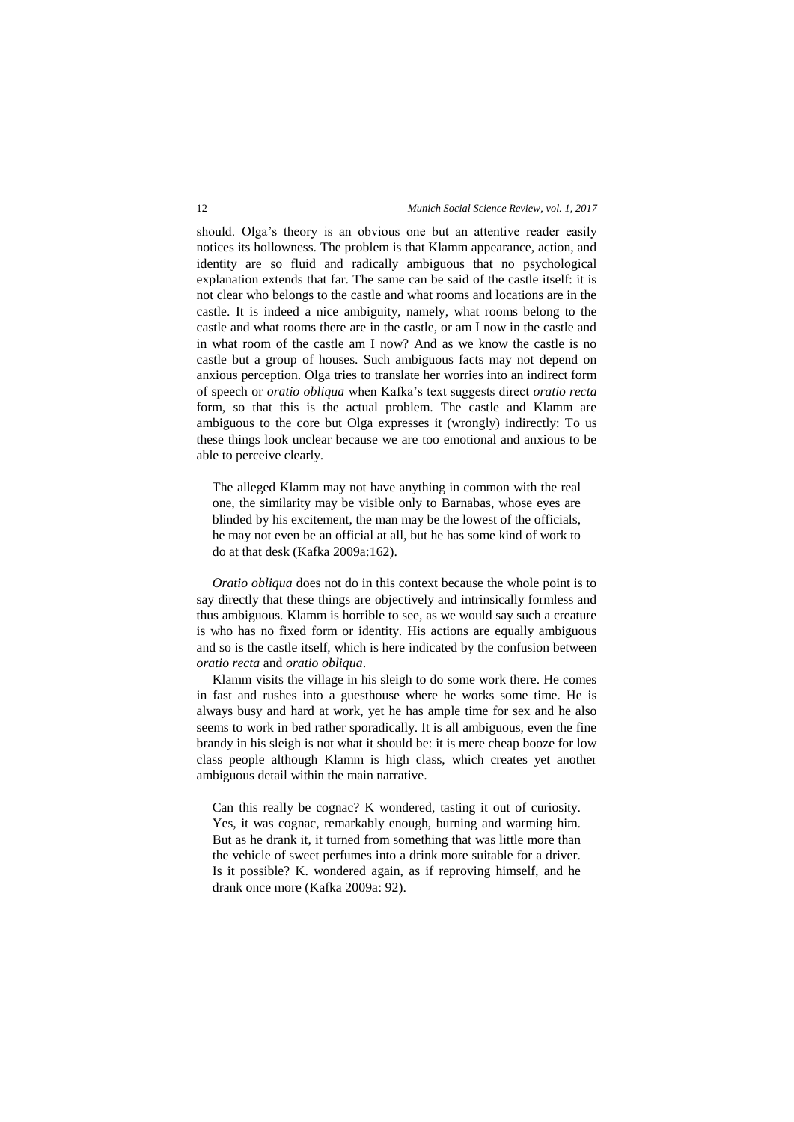should. Olga's theory is an obvious one but an attentive reader easily notices its hollowness. The problem is that Klamm appearance, action, and identity are so fluid and radically ambiguous that no psychological explanation extends that far. The same can be said of the castle itself: it is not clear who belongs to the castle and what rooms and locations are in the castle. It is indeed a nice ambiguity, namely, what rooms belong to the castle and what rooms there are in the castle, or am I now in the castle and in what room of the castle am I now? And as we know the castle is no castle but a group of houses. Such ambiguous facts may not depend on anxious perception. Olga tries to translate her worries into an indirect form of speech or *oratio obliqua* when Kafka's text suggests direct *oratio recta* form, so that this is the actual problem. The castle and Klamm are ambiguous to the core but Olga expresses it (wrongly) indirectly: To us these things look unclear because we are too emotional and anxious to be able to perceive clearly.

The alleged Klamm may not have anything in common with the real one, the similarity may be visible only to Barnabas, whose eyes are blinded by his excitement, the man may be the lowest of the officials, he may not even be an official at all, but he has some kind of work to do at that desk (Kafka 2009a:162).

*Oratio obliqua* does not do in this context because the whole point is to say directly that these things are objectively and intrinsically formless and thus ambiguous. Klamm is horrible to see, as we would say such a creature is who has no fixed form or identity. His actions are equally ambiguous and so is the castle itself, which is here indicated by the confusion between *oratio recta* and *oratio obliqua*.

Klamm visits the village in his sleigh to do some work there. He comes in fast and rushes into a guesthouse where he works some time. He is always busy and hard at work, yet he has ample time for sex and he also seems to work in bed rather sporadically. It is all ambiguous, even the fine brandy in his sleigh is not what it should be: it is mere cheap booze for low class people although Klamm is high class, which creates yet another ambiguous detail within the main narrative.

Can this really be cognac? K wondered, tasting it out of curiosity. Yes, it was cognac, remarkably enough, burning and warming him. But as he drank it, it turned from something that was little more than the vehicle of sweet perfumes into a drink more suitable for a driver. Is it possible? K. wondered again, as if reproving himself, and he drank once more (Kafka 2009a: 92).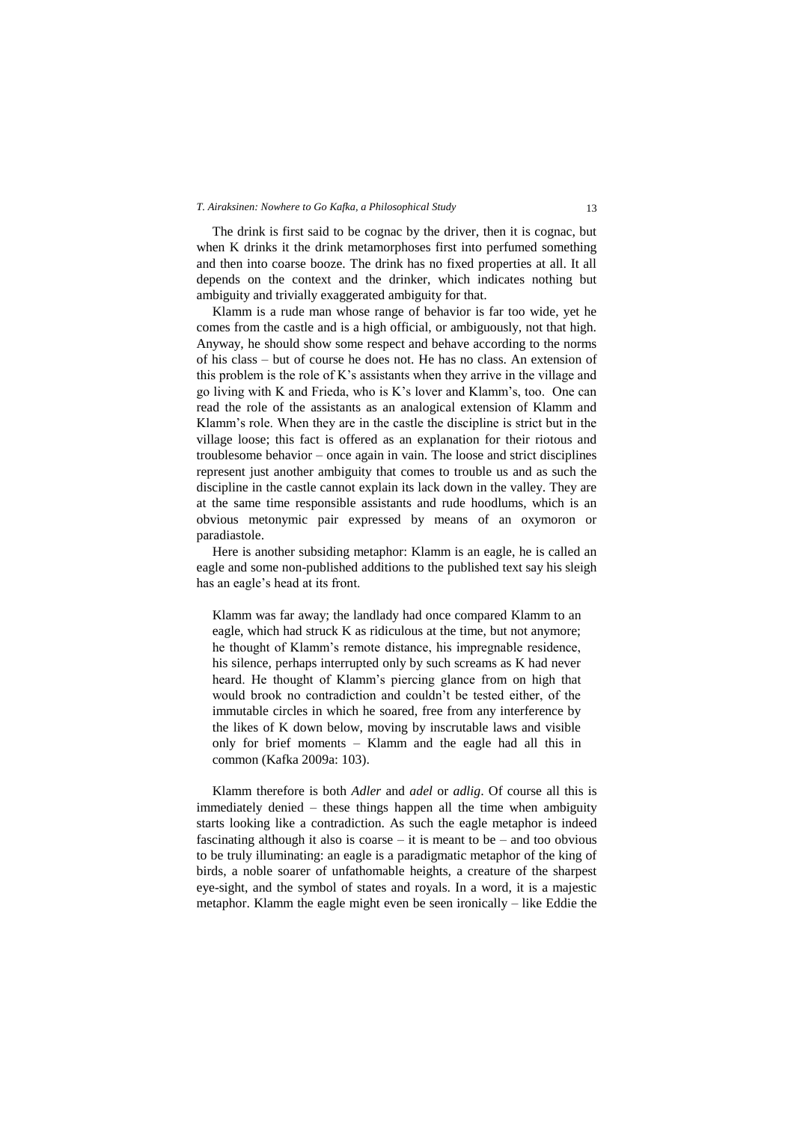The drink is first said to be cognac by the driver, then it is cognac, but when K drinks it the drink metamorphoses first into perfumed something and then into coarse booze. The drink has no fixed properties at all. It all depends on the context and the drinker, which indicates nothing but ambiguity and trivially exaggerated ambiguity for that.

Klamm is a rude man whose range of behavior is far too wide, yet he comes from the castle and is a high official, or ambiguously, not that high. Anyway, he should show some respect and behave according to the norms of his class – but of course he does not. He has no class. An extension of this problem is the role of K's assistants when they arrive in the village and go living with K and Frieda, who is K's lover and Klamm's, too. One can read the role of the assistants as an analogical extension of Klamm and Klamm's role. When they are in the castle the discipline is strict but in the village loose; this fact is offered as an explanation for their riotous and troublesome behavior – once again in vain. The loose and strict disciplines represent just another ambiguity that comes to trouble us and as such the discipline in the castle cannot explain its lack down in the valley. They are at the same time responsible assistants and rude hoodlums, which is an obvious metonymic pair expressed by means of an oxymoron or paradiastole.

Here is another subsiding metaphor: Klamm is an eagle, he is called an eagle and some non-published additions to the published text say his sleigh has an eagle's head at its front.

Klamm was far away; the landlady had once compared Klamm to an eagle, which had struck K as ridiculous at the time, but not anymore; he thought of Klamm's remote distance, his impregnable residence, his silence, perhaps interrupted only by such screams as K had never heard. He thought of Klamm's piercing glance from on high that would brook no contradiction and couldn't be tested either, of the immutable circles in which he soared, free from any interference by the likes of K down below, moving by inscrutable laws and visible only for brief moments – Klamm and the eagle had all this in common (Kafka 2009a: 103).

Klamm therefore is both *Adler* and *adel* or *adlig*. Of course all this is immediately denied – these things happen all the time when ambiguity starts looking like a contradiction. As such the eagle metaphor is indeed fascinating although it also is coarse – it is meant to be – and too obvious to be truly illuminating: an eagle is a paradigmatic metaphor of the king of birds, a noble soarer of unfathomable heights, a creature of the sharpest eye-sight, and the symbol of states and royals. In a word, it is a majestic metaphor. Klamm the eagle might even be seen ironically – like Eddie the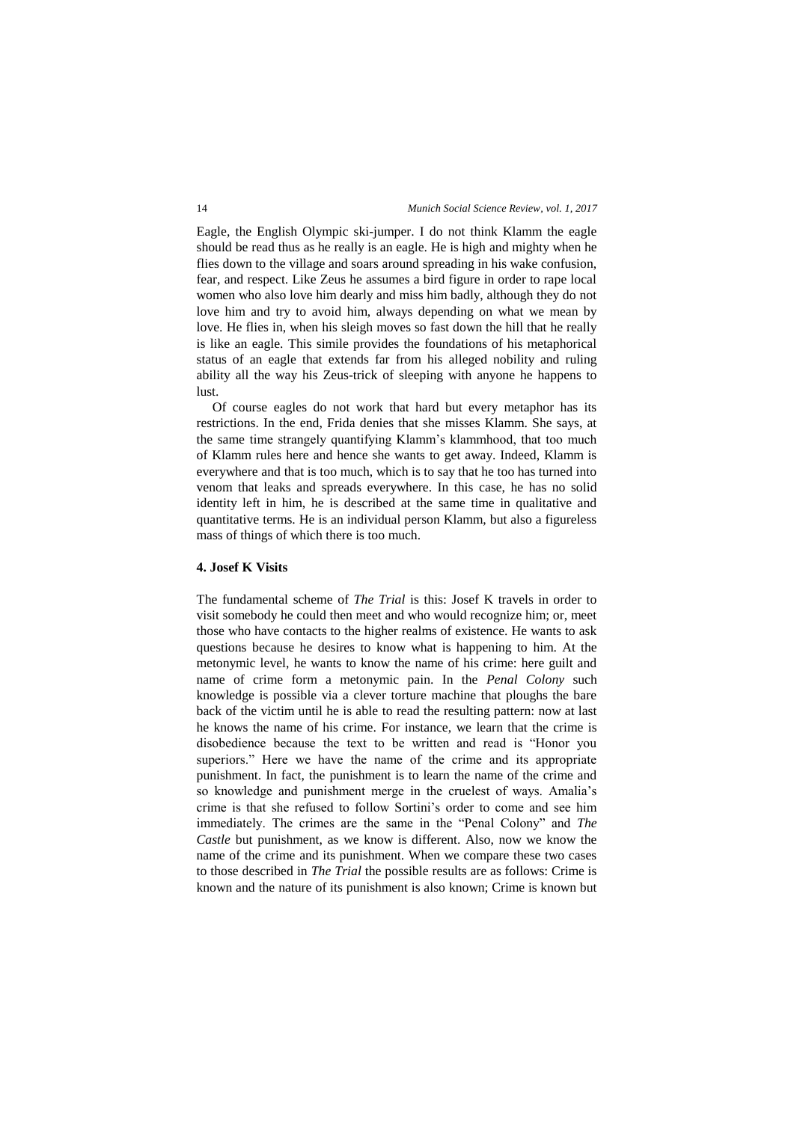Eagle, the English Olympic ski-jumper. I do not think Klamm the eagle should be read thus as he really is an eagle. He is high and mighty when he flies down to the village and soars around spreading in his wake confusion, fear, and respect. Like Zeus he assumes a bird figure in order to rape local women who also love him dearly and miss him badly, although they do not love him and try to avoid him, always depending on what we mean by love. He flies in, when his sleigh moves so fast down the hill that he really is like an eagle. This simile provides the foundations of his metaphorical status of an eagle that extends far from his alleged nobility and ruling ability all the way his Zeus-trick of sleeping with anyone he happens to lust.

Of course eagles do not work that hard but every metaphor has its restrictions. In the end, Frida denies that she misses Klamm. She says, at the same time strangely quantifying Klamm's klammhood, that too much of Klamm rules here and hence she wants to get away. Indeed, Klamm is everywhere and that is too much, which is to say that he too has turned into venom that leaks and spreads everywhere. In this case, he has no solid identity left in him, he is described at the same time in qualitative and quantitative terms. He is an individual person Klamm, but also a figureless mass of things of which there is too much.

### **4. Josef K Visits**

The fundamental scheme of *The Trial* is this: Josef K travels in order to visit somebody he could then meet and who would recognize him; or, meet those who have contacts to the higher realms of existence. He wants to ask questions because he desires to know what is happening to him. At the metonymic level, he wants to know the name of his crime: here guilt and name of crime form a metonymic pain. In the *Penal Colony* such knowledge is possible via a clever torture machine that ploughs the bare back of the victim until he is able to read the resulting pattern: now at last he knows the name of his crime. For instance, we learn that the crime is disobedience because the text to be written and read is "Honor you superiors." Here we have the name of the crime and its appropriate punishment. In fact, the punishment is to learn the name of the crime and so knowledge and punishment merge in the cruelest of ways. Amalia's crime is that she refused to follow Sortini's order to come and see him immediately. The crimes are the same in the "Penal Colony" and *The Castle* but punishment, as we know is different. Also, now we know the name of the crime and its punishment. When we compare these two cases to those described in *The Trial* the possible results are as follows: Crime is known and the nature of its punishment is also known; Crime is known but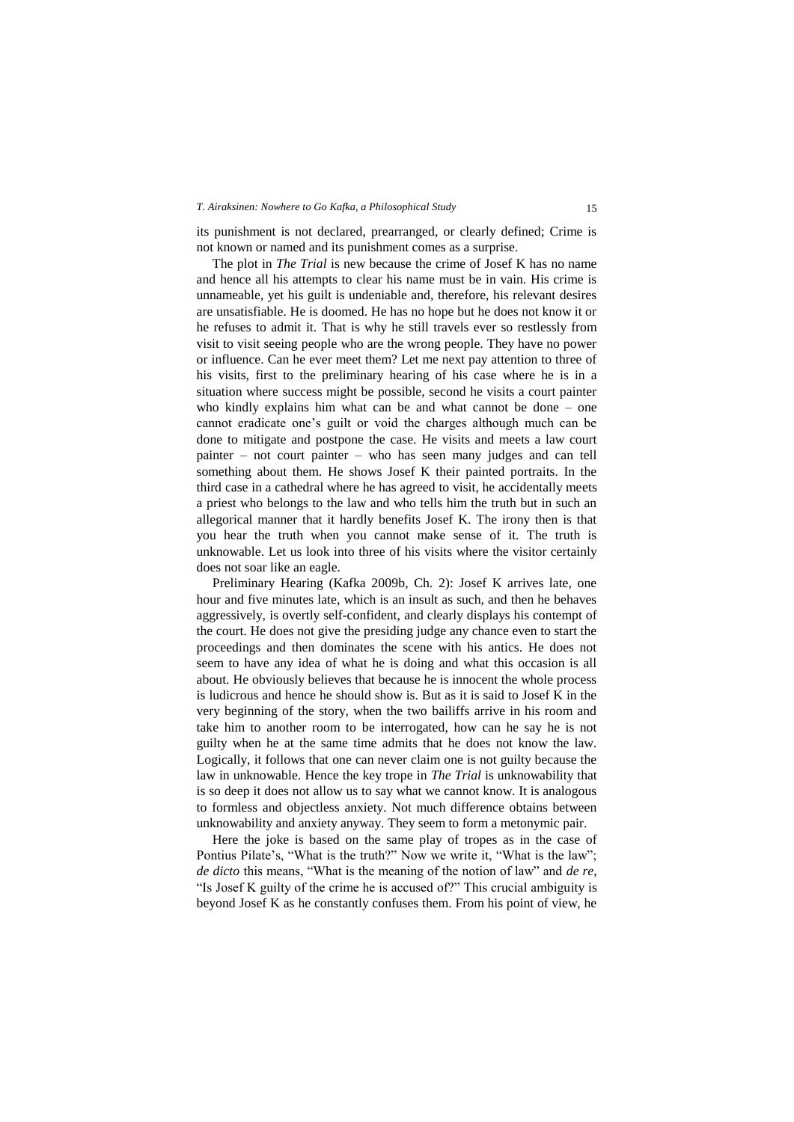its punishment is not declared, prearranged, or clearly defined; Crime is not known or named and its punishment comes as a surprise.

The plot in *The Trial* is new because the crime of Josef K has no name and hence all his attempts to clear his name must be in vain. His crime is unnameable, yet his guilt is undeniable and, therefore, his relevant desires are unsatisfiable. He is doomed. He has no hope but he does not know it or he refuses to admit it. That is why he still travels ever so restlessly from visit to visit seeing people who are the wrong people. They have no power or influence. Can he ever meet them? Let me next pay attention to three of his visits, first to the preliminary hearing of his case where he is in a situation where success might be possible, second he visits a court painter who kindly explains him what can be and what cannot be done – one cannot eradicate one's guilt or void the charges although much can be done to mitigate and postpone the case. He visits and meets a law court painter – not court painter – who has seen many judges and can tell something about them. He shows Josef K their painted portraits. In the third case in a cathedral where he has agreed to visit, he accidentally meets a priest who belongs to the law and who tells him the truth but in such an allegorical manner that it hardly benefits Josef K. The irony then is that you hear the truth when you cannot make sense of it. The truth is unknowable. Let us look into three of his visits where the visitor certainly does not soar like an eagle.

Preliminary Hearing (Kafka 2009b, Ch. 2): Josef K arrives late, one hour and five minutes late, which is an insult as such, and then he behaves aggressively, is overtly self-confident, and clearly displays his contempt of the court. He does not give the presiding judge any chance even to start the proceedings and then dominates the scene with his antics. He does not seem to have any idea of what he is doing and what this occasion is all about. He obviously believes that because he is innocent the whole process is ludicrous and hence he should show is. But as it is said to Josef K in the very beginning of the story, when the two bailiffs arrive in his room and take him to another room to be interrogated, how can he say he is not guilty when he at the same time admits that he does not know the law. Logically, it follows that one can never claim one is not guilty because the law in unknowable. Hence the key trope in *The Trial* is unknowability that is so deep it does not allow us to say what we cannot know. It is analogous to formless and objectless anxiety. Not much difference obtains between unknowability and anxiety anyway. They seem to form a metonymic pair.

Here the joke is based on the same play of tropes as in the case of Pontius Pilate's, "What is the truth?" Now we write it, "What is the law"; *de dicto* this means, "What is the meaning of the notion of law" and *de re*, "Is Josef K guilty of the crime he is accused of?" This crucial ambiguity is beyond Josef K as he constantly confuses them. From his point of view, he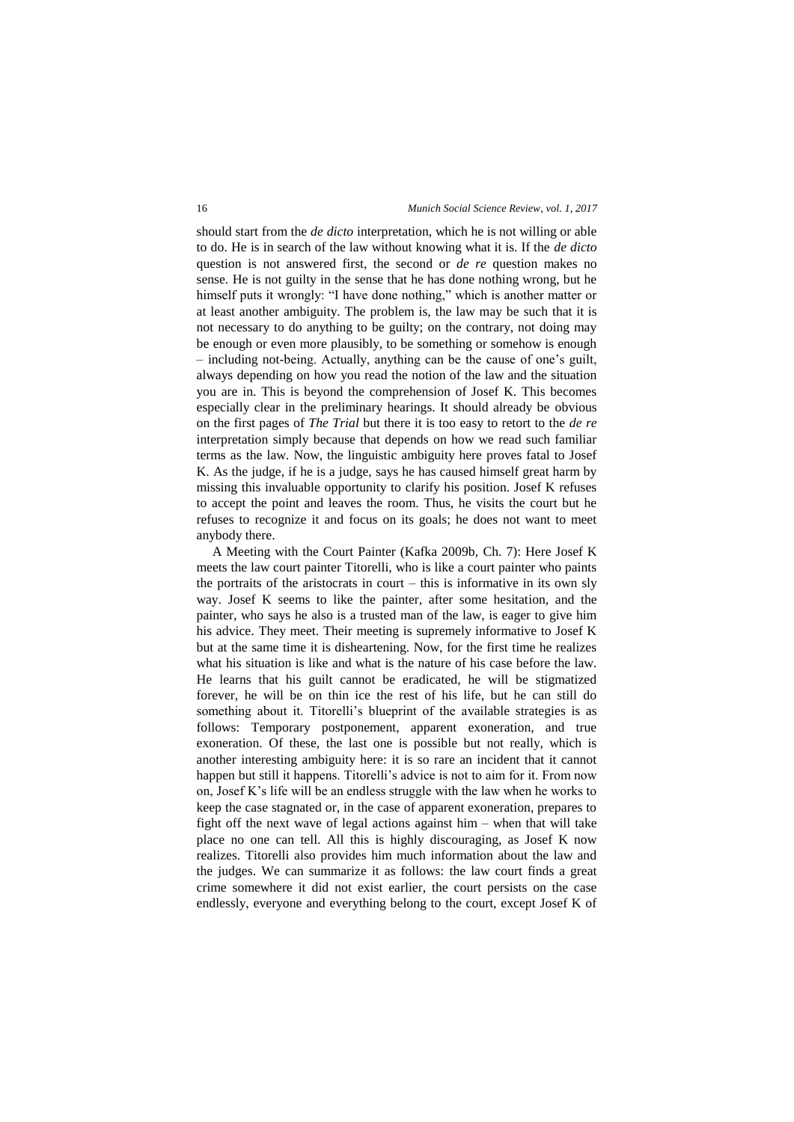should start from the *de dicto* interpretation, which he is not willing or able to do. He is in search of the law without knowing what it is. If the *de dicto* question is not answered first, the second or *de re* question makes no sense. He is not guilty in the sense that he has done nothing wrong, but he himself puts it wrongly: "I have done nothing," which is another matter or at least another ambiguity. The problem is, the law may be such that it is not necessary to do anything to be guilty; on the contrary, not doing may be enough or even more plausibly, to be something or somehow is enough – including not-being. Actually, anything can be the cause of one's guilt, always depending on how you read the notion of the law and the situation you are in. This is beyond the comprehension of Josef K. This becomes especially clear in the preliminary hearings. It should already be obvious on the first pages of *The Trial* but there it is too easy to retort to the *de re* interpretation simply because that depends on how we read such familiar terms as the law. Now, the linguistic ambiguity here proves fatal to Josef K. As the judge, if he is a judge, says he has caused himself great harm by missing this invaluable opportunity to clarify his position. Josef K refuses to accept the point and leaves the room. Thus, he visits the court but he refuses to recognize it and focus on its goals; he does not want to meet anybody there.

A Meeting with the Court Painter (Kafka 2009b, Ch. 7): Here Josef K meets the law court painter Titorelli, who is like a court painter who paints the portraits of the aristocrats in court – this is informative in its own sly way. Josef K seems to like the painter, after some hesitation, and the painter, who says he also is a trusted man of the law, is eager to give him his advice. They meet. Their meeting is supremely informative to Josef K but at the same time it is disheartening. Now, for the first time he realizes what his situation is like and what is the nature of his case before the law. He learns that his guilt cannot be eradicated, he will be stigmatized forever, he will be on thin ice the rest of his life, but he can still do something about it. Titorelli's blueprint of the available strategies is as follows: Temporary postponement, apparent exoneration, and true exoneration. Of these, the last one is possible but not really, which is another interesting ambiguity here: it is so rare an incident that it cannot happen but still it happens. Titorelli's advice is not to aim for it. From now on, Josef K's life will be an endless struggle with the law when he works to keep the case stagnated or, in the case of apparent exoneration, prepares to fight off the next wave of legal actions against him – when that will take place no one can tell. All this is highly discouraging, as Josef K now realizes. Titorelli also provides him much information about the law and the judges. We can summarize it as follows: the law court finds a great crime somewhere it did not exist earlier, the court persists on the case endlessly, everyone and everything belong to the court, except Josef K of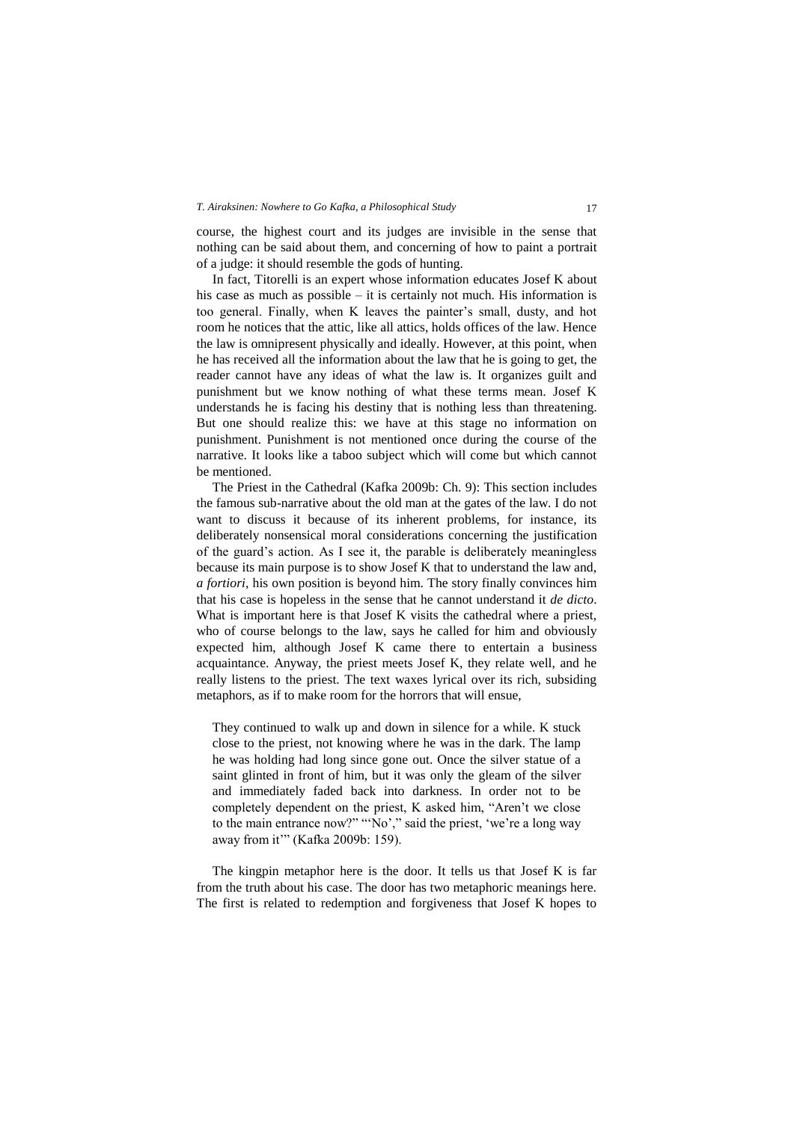course, the highest court and its judges are invisible in the sense that nothing can be said about them, and concerning of how to paint a portrait of a judge: it should resemble the gods of hunting.

In fact, Titorelli is an expert whose information educates Josef K about his case as much as possible – it is certainly not much. His information is too general. Finally, when K leaves the painter's small, dusty, and hot room he notices that the attic, like all attics, holds offices of the law. Hence the law is omnipresent physically and ideally. However, at this point, when he has received all the information about the law that he is going to get, the reader cannot have any ideas of what the law is. It organizes guilt and punishment but we know nothing of what these terms mean. Josef K understands he is facing his destiny that is nothing less than threatening. But one should realize this: we have at this stage no information on punishment. Punishment is not mentioned once during the course of the narrative. It looks like a taboo subject which will come but which cannot be mentioned.

The Priest in the Cathedral (Kafka 2009b: Ch. 9): This section includes the famous sub-narrative about the old man at the gates of the law. I do not want to discuss it because of its inherent problems, for instance, its deliberately nonsensical moral considerations concerning the justification of the guard's action. As I see it, the parable is deliberately meaningless because its main purpose is to show Josef K that to understand the law and, *a fortiori*, his own position is beyond him. The story finally convinces him that his case is hopeless in the sense that he cannot understand it *de dicto*. What is important here is that Josef K visits the cathedral where a priest, who of course belongs to the law, says he called for him and obviously expected him, although Josef K came there to entertain a business acquaintance. Anyway, the priest meets Josef K, they relate well, and he really listens to the priest. The text waxes lyrical over its rich, subsiding metaphors, as if to make room for the horrors that will ensue,

They continued to walk up and down in silence for a while. K stuck close to the priest, not knowing where he was in the dark. The lamp he was holding had long since gone out. Once the silver statue of a saint glinted in front of him, but it was only the gleam of the silver and immediately faded back into darkness. In order not to be completely dependent on the priest, K asked him, "Aren't we close to the main entrance now?" "'No'," said the priest, 'we're a long way away from it'" (Kafka 2009b: 159).

The kingpin metaphor here is the door. It tells us that Josef K is far from the truth about his case. The door has two metaphoric meanings here. The first is related to redemption and forgiveness that Josef K hopes to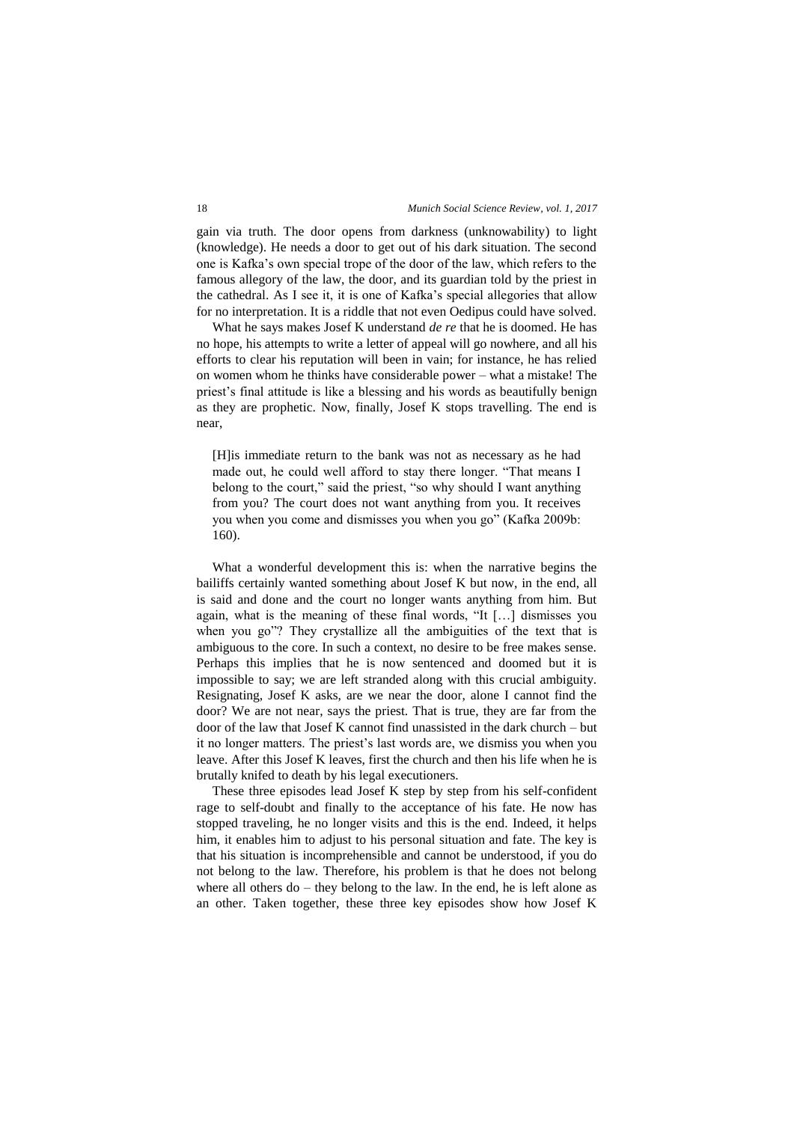gain via truth. The door opens from darkness (unknowability) to light (knowledge). He needs a door to get out of his dark situation. The second one is Kafka's own special trope of the door of the law, which refers to the famous allegory of the law, the door, and its guardian told by the priest in the cathedral. As I see it, it is one of Kafka's special allegories that allow for no interpretation. It is a riddle that not even Oedipus could have solved.

What he says makes Josef K understand *de re* that he is doomed. He has no hope, his attempts to write a letter of appeal will go nowhere, and all his efforts to clear his reputation will been in vain; for instance, he has relied on women whom he thinks have considerable power – what a mistake! The priest's final attitude is like a blessing and his words as beautifully benign as they are prophetic. Now, finally, Josef K stops travelling. The end is near,

[H]is immediate return to the bank was not as necessary as he had made out, he could well afford to stay there longer. "That means I belong to the court," said the priest, "so why should I want anything from you? The court does not want anything from you. It receives you when you come and dismisses you when you go" (Kafka 2009b: 160).

What a wonderful development this is: when the narrative begins the bailiffs certainly wanted something about Josef K but now, in the end, all is said and done and the court no longer wants anything from him. But again, what is the meaning of these final words, "It […] dismisses you when you go"? They crystallize all the ambiguities of the text that is ambiguous to the core. In such a context, no desire to be free makes sense. Perhaps this implies that he is now sentenced and doomed but it is impossible to say; we are left stranded along with this crucial ambiguity. Resignating, Josef K asks, are we near the door, alone I cannot find the door? We are not near, says the priest. That is true, they are far from the door of the law that Josef K cannot find unassisted in the dark church – but it no longer matters. The priest's last words are, we dismiss you when you leave. After this Josef K leaves, first the church and then his life when he is brutally knifed to death by his legal executioners.

These three episodes lead Josef K step by step from his self-confident rage to self-doubt and finally to the acceptance of his fate. He now has stopped traveling, he no longer visits and this is the end. Indeed, it helps him, it enables him to adjust to his personal situation and fate. The key is that his situation is incomprehensible and cannot be understood, if you do not belong to the law. Therefore, his problem is that he does not belong where all others do – they belong to the law. In the end, he is left alone as an other. Taken together, these three key episodes show how Josef K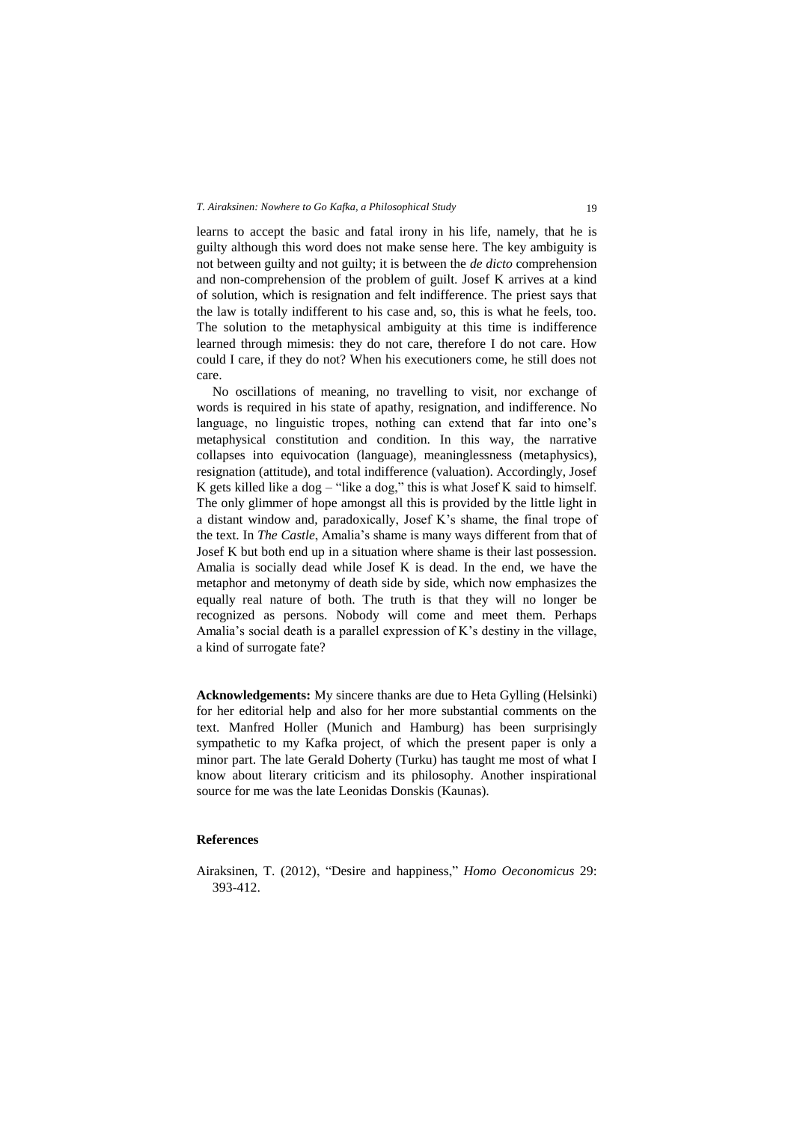learns to accept the basic and fatal irony in his life, namely, that he is guilty although this word does not make sense here. The key ambiguity is not between guilty and not guilty; it is between the *de dicto* comprehension and non-comprehension of the problem of guilt. Josef K arrives at a kind of solution, which is resignation and felt indifference. The priest says that the law is totally indifferent to his case and, so, this is what he feels, too. The solution to the metaphysical ambiguity at this time is indifference learned through mimesis: they do not care, therefore I do not care. How could I care, if they do not? When his executioners come, he still does not care.

No oscillations of meaning, no travelling to visit, nor exchange of words is required in his state of apathy, resignation, and indifference. No language, no linguistic tropes, nothing can extend that far into one's metaphysical constitution and condition. In this way, the narrative collapses into equivocation (language), meaninglessness (metaphysics), resignation (attitude), and total indifference (valuation). Accordingly, Josef K gets killed like a dog – "like a dog," this is what Josef K said to himself. The only glimmer of hope amongst all this is provided by the little light in a distant window and, paradoxically, Josef K's shame, the final trope of the text. In *The Castle*, Amalia's shame is many ways different from that of Josef K but both end up in a situation where shame is their last possession. Amalia is socially dead while Josef K is dead. In the end, we have the metaphor and metonymy of death side by side, which now emphasizes the equally real nature of both. The truth is that they will no longer be recognized as persons. Nobody will come and meet them. Perhaps Amalia's social death is a parallel expression of K's destiny in the village, a kind of surrogate fate?

**Acknowledgements:** My sincere thanks are due to Heta Gylling (Helsinki) for her editorial help and also for her more substantial comments on the text. Manfred Holler (Munich and Hamburg) has been surprisingly sympathetic to my Kafka project, of which the present paper is only a minor part. The late Gerald Doherty (Turku) has taught me most of what I know about literary criticism and its philosophy. Another inspirational source for me was the late Leonidas Donskis (Kaunas).

## **References**

Airaksinen, T. (2012), "Desire and happiness," *Homo Oeconomicus* 29: 393-412.